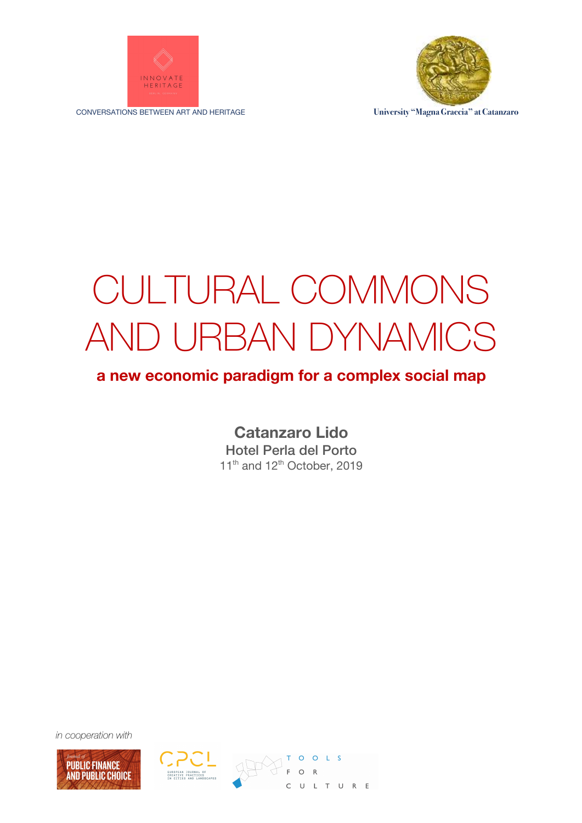

CONVERSATIONS BETWEEN ART AND HERITAGE **University "Magna Graecia" at Catanzaro**



# CULTURAL COMMONS AND URBAN DYNAMICS

#### **a new economic paradigm for a complex social map**

**Catanzaro Lido** Hotel Perla del Porto 11<sup>th</sup> and 12<sup>th</sup> October, 2019

*in cooperation with*





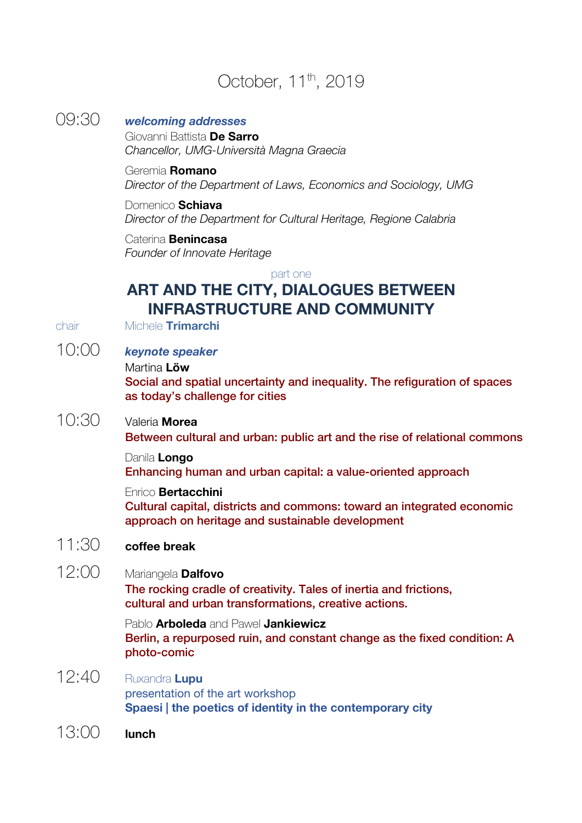# October, 11<sup>th</sup>, 2019

#### 09:30 *welcoming addresses* Giovanni Battista **De Sarro** *Chancellor, UMG-Università Magna Graecia* Geremia **Romano** *Director of the Department of Laws, Economics and Sociology, UMG* Domenico **Schiava** *Director of the Department for Cultural Heritage, Regione Calabria* Caterina **Benincasa** *Founder of Innovate Heritage* part one **ART AND THE CITY, DIALOGUES BETWEEN INFRASTRUCTURE AND COMMUNITY** chair Michele **Trimarchi** 10:00 *keynote speaker* Martina **Löw** Social and spatial uncertainty and inequality. The refiguration of spaces as today's challenge for cities 10:30 Valeria **Morea** Between cultural and urban: public art and the rise of relational commons Danila **Longo** Enhancing human and urban capital: a value-oriented approach Enrico **Bertacchini** Cultural capital, districts and commons: toward an integrated economic approach on heritage and sustainable development

### 11:30 **coffee break**

12:00 Mariangela **Dalfovo**

The rocking cradle of creativity. Tales of inertia and frictions, cultural and urban transformations, creative actions.

Pablo **Arboleda** and Pawel **Jankiewicz** Berlin, a repurposed ruin, and constant change as the fixed condition: A photo-comic

- 12:40 Ruxandra **Lupu** presentation of the art workshop **Spaesi | the poetics of identity in the contemporary city**
- 13:00 **lunch**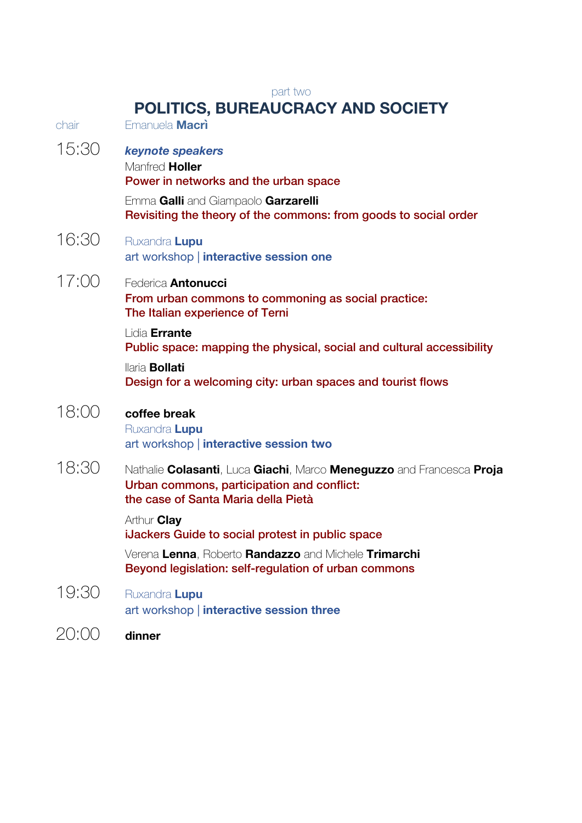### part two

# **POLITICS, BUREAUCRACY AND SOCIETY**

| chair | <u>, , , , , , , , , , , , , , , ,</u><br>Emanuela Macri                                                                                                                               |
|-------|----------------------------------------------------------------------------------------------------------------------------------------------------------------------------------------|
| 15:30 | keynote speakers<br>Manfred Holler<br>Power in networks and the urban space<br>Emma Galli and Giampaolo Garzarelli<br>Revisiting the theory of the commons: from goods to social order |
| 16:30 | Ruxandra Lupu<br>art workshop   interactive session one                                                                                                                                |
| 17:00 | Federica <b>Antonucci</b><br>From urban commons to commoning as social practice:<br>The Italian experience of Terni                                                                    |
|       | Lidia Errante<br>Public space: mapping the physical, social and cultural accessibility                                                                                                 |
|       | llaria <b>Bollati</b><br>Design for a welcoming city: urban spaces and tourist flows                                                                                                   |
| 18:00 | coffee break<br>Ruxandra Lupu<br>art workshop   interactive session two                                                                                                                |
| 18:30 | Nathalie Colasanti, Luca Giachi, Marco Meneguzzo and Francesca Proja<br>Urban commons, participation and conflict:<br>the case of Santa Maria della Pietà                              |
|       | Arthur <b>Clay</b><br>iJackers Guide to social protest in public space                                                                                                                 |
|       | Verena Lenna, Roberto Randazzo and Michele Trimarchi<br>Beyond legislation: self-regulation of urban commons                                                                           |
| 19:30 | Ruxandra Lupu<br>art workshop   interactive session three                                                                                                                              |
| 20:00 | dinner                                                                                                                                                                                 |